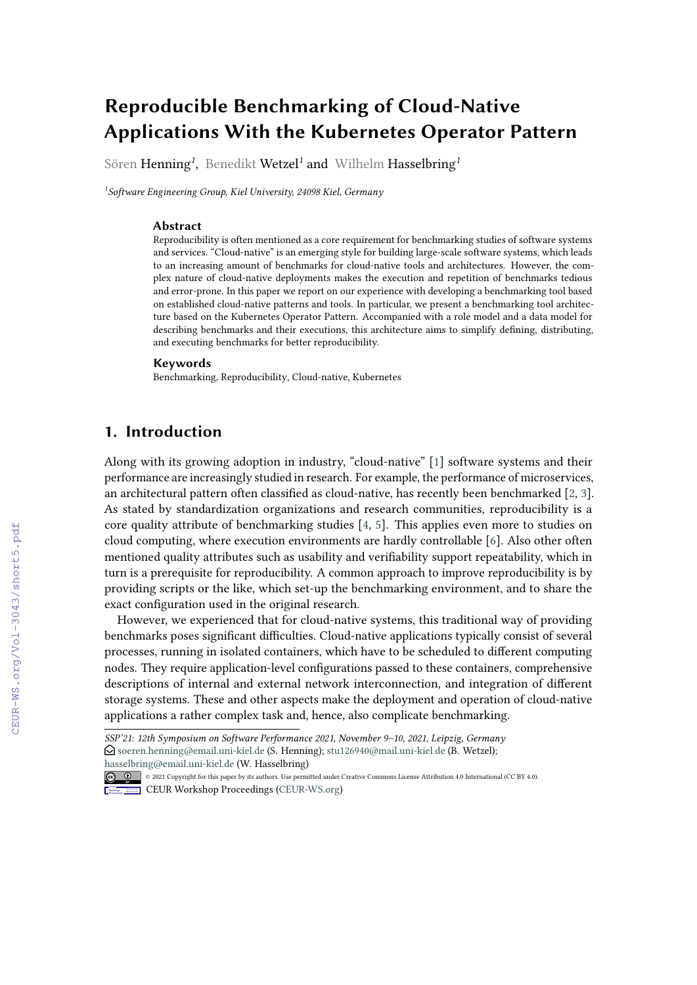# **Reproducible Benchmarking of Cloud-Native Applications With the Kubernetes Operator Pattern**

Sören Henning*<sup>1</sup>* , Benedikt Wetzel*<sup>1</sup>* and Wilhelm Hasselbring*<sup>1</sup>*

*1 Software Engineering Group, Kiel University, 24098 Kiel, Germany*

#### **Abstract**

Reproducibility is often mentioned as a core requirement for benchmarking studies of software systems and services. "Cloud-native" is an emerging style for building large-scale software systems, which leads to an increasing amount of benchmarks for cloud-native tools and architectures. However, the complex nature of cloud-native deployments makes the execution and repetition of benchmarks tedious and error-prone. In this paper we report on our experience with developing a benchmarking tool based on established cloud-native patterns and tools. In particular, we present a benchmarking tool architecture based on the Kubernetes Operator Pattern. Accompanied with a role model and a data model for describing benchmarks and their executions, this architecture aims to simplify defining, distributing, and executing benchmarks for better reproducibility.

#### **Keywords**

Benchmarking, Reproducibility, Cloud-native, Kubernetes

# **1. Introduction**

Along with its growing adoption in industry, "cloud-native" [\[1\]](#page--1-0) software systems and their performance are increasingly studied in research. For example, the performance of microservices, an architectural pattern often classified as cloud-native, has recently been benchmarked [\[2,](#page--1-1) [3\]](#page--1-2). As stated by standardization organizations and research communities, reproducibility is a core quality attribute of benchmarking studies [\[4,](#page--1-3) [5\]](#page--1-4). This applies even more to studies on cloud computing, where execution environments are hardly controllable [\[6\]](#page--1-5). Also other often mentioned quality attributes such as usability and verifiability support repeatability, which in turn is a prerequisite for reproducibility. A common approach to improve reproducibility is by providing scripts or the like, which set-up the benchmarking environment, and to share the exact configuration used in the original research.

However, we experienced that for cloud-native systems, this traditional way of providing benchmarks poses significant difficulties. Cloud-native applications typically consist of several processes, running in isolated containers, which have to be scheduled to different computing nodes. They require application-level configurations passed to these containers, comprehensive descriptions of internal and external network interconnection, and integration of different storage systems. These and other aspects make the deployment and operation of cloud-native applications a rather complex task and, hence, also complicate benchmarking.

© 2021 Copyright for this paper by its authors. Use permitted under Creative Commons License Attribution 4.0 International (CC BY 4.0).

**CEUR Workshop [Proceedings](http://ceur-ws.org) [\(CEUR-WS.org\)](http://ceur-ws.org)** 

*SSP'21: 12th Symposium on Software Performance 2021, November 9–10, 2021, Leipzig, Germany* [soeren.henning@email.uni-kiel.de](mailto:soeren.henning@email.uni-kiel.de) (S. Henning); [stu126940@mail.uni-kiel.de](mailto:stu126940@mail.uni-kiel.de) (B. Wetzel); [hasselbring@email.uni-kiel.de](mailto:hasselbring@email.uni-kiel.de) (W. Hasselbring)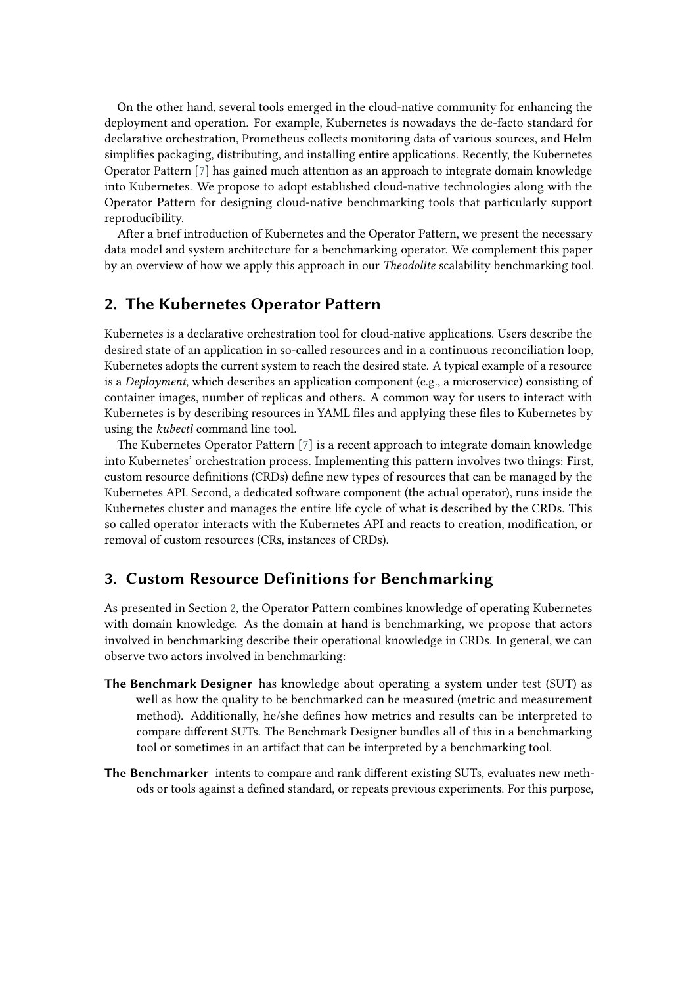On the other hand, several tools emerged in the cloud-native community for enhancing the deployment and operation. For example, Kubernetes is nowadays the de-facto standard for declarative orchestration, Prometheus collects monitoring data of various sources, and Helm simplifies packaging, distributing, and installing entire applications. Recently, the Kubernetes Operator Pattern [\[7\]](#page-5-0) has gained much attention as an approach to integrate domain knowledge into Kubernetes. We propose to adopt established cloud-native technologies along with the Operator Pattern for designing cloud-native benchmarking tools that particularly support reproducibility.

After a brief introduction of Kubernetes and the Operator Pattern, we present the necessary data model and system architecture for a benchmarking operator. We complement this paper by an overview of how we apply this approach in our *Theodolite* scalability benchmarking tool.

### <span id="page-1-0"></span>**2. The Kubernetes Operator Pattern**

Kubernetes is a declarative orchestration tool for cloud-native applications. Users describe the desired state of an application in so-called resources and in a continuous reconciliation loop, Kubernetes adopts the current system to reach the desired state. A typical example of a resource is a *Deployment*, which describes an application component (e.g., a microservice) consisting of container images, number of replicas and others. A common way for users to interact with Kubernetes is by describing resources in YAML files and applying these files to Kubernetes by using the *kubectl* command line tool.

The Kubernetes Operator Pattern [\[7\]](#page-5-0) is a recent approach to integrate domain knowledge into Kubernetes' orchestration process. Implementing this pattern involves two things: First, custom resource definitions (CRDs) define new types of resources that can be managed by the Kubernetes API. Second, a dedicated software component (the actual operator), runs inside the Kubernetes cluster and manages the entire life cycle of what is described by the CRDs. This so called operator interacts with the Kubernetes API and reacts to creation, modification, or removal of custom resources (CRs, instances of CRDs).

## **3. Custom Resource Definitions for Benchmarking**

As presented in Section [2,](#page-1-0) the Operator Pattern combines knowledge of operating Kubernetes with domain knowledge. As the domain at hand is benchmarking, we propose that actors involved in benchmarking describe their operational knowledge in CRDs. In general, we can observe two actors involved in benchmarking:

- **The Benchmark Designer** has knowledge about operating a system under test (SUT) as well as how the quality to be benchmarked can be measured (metric and measurement method). Additionally, he/she defines how metrics and results can be interpreted to compare different SUTs. The Benchmark Designer bundles all of this in a benchmarking tool or sometimes in an artifact that can be interpreted by a benchmarking tool.
- **The Benchmarker** intents to compare and rank different existing SUTs, evaluates new methods or tools against a defined standard, or repeats previous experiments. For this purpose,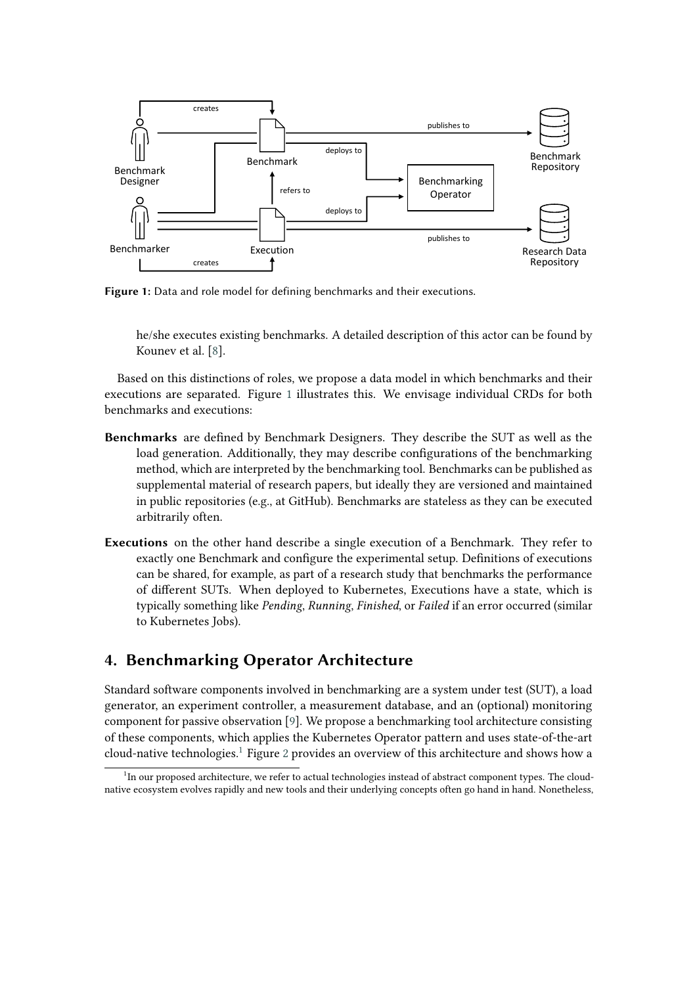<span id="page-2-0"></span>

**Figure 1:** Data and role model for defining benchmarks and their executions.

he/she executes existing benchmarks. A detailed description of this actor can be found by Kounev et al. [\[8\]](#page-5-1).

Based on this distinctions of roles, we propose a data model in which benchmarks and their executions are separated. Figure [1](#page-2-0) illustrates this. We envisage individual CRDs for both benchmarks and executions:

- **Benchmarks** are defined by Benchmark Designers. They describe the SUT as well as the load generation. Additionally, they may describe configurations of the benchmarking method, which are interpreted by the benchmarking tool. Benchmarks can be published as supplemental material of research papers, but ideally they are versioned and maintained in public repositories (e.g., at GitHub). Benchmarks are stateless as they can be executed arbitrarily often.
- **Executions** on the other hand describe a single execution of a Benchmark. They refer to exactly one Benchmark and configure the experimental setup. Definitions of executions can be shared, for example, as part of a research study that benchmarks the performance of different SUTs. When deployed to Kubernetes, Executions have a state, which is typically something like *Pending*, *Running*, *Finished*, or *Failed* if an error occurred (similar to Kubernetes Jobs).

# **4. Benchmarking Operator Architecture**

Standard software components involved in benchmarking are a system under test (SUT), a load generator, an experiment controller, a measurement database, and an (optional) monitoring component for passive observation [\[9\]](#page-5-2). We propose a benchmarking tool architecture consisting of these components, which applies the Kubernetes Operator pattern and uses state-of-the-art cloud-native technologies.<sup>[1](#page-2-1)</sup> Figure [2](#page-3-0) provides an overview of this architecture and shows how a

<span id="page-2-1"></span><sup>&</sup>lt;sup>1</sup>In our proposed architecture, we refer to actual technologies instead of abstract component types. The cloudnative ecosystem evolves rapidly and new tools and their underlying concepts often go hand in hand. Nonetheless,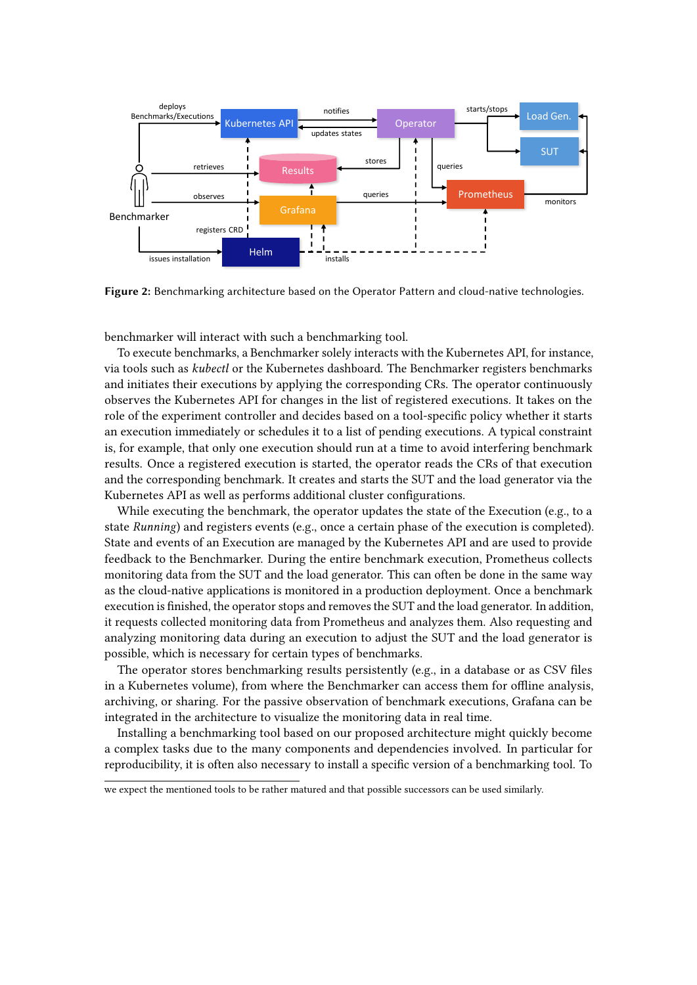<span id="page-3-0"></span>

**Figure 2:** Benchmarking architecture based on the Operator Pattern and cloud-native technologies.

benchmarker will interact with such a benchmarking tool.

To execute benchmarks, a Benchmarker solely interacts with the Kubernetes API, for instance, via tools such as *kubectl* or the Kubernetes dashboard. The Benchmarker registers benchmarks and initiates their executions by applying the corresponding CRs. The operator continuously observes the Kubernetes API for changes in the list of registered executions. It takes on the role of the experiment controller and decides based on a tool-specific policy whether it starts an execution immediately or schedules it to a list of pending executions. A typical constraint is, for example, that only one execution should run at a time to avoid interfering benchmark results. Once a registered execution is started, the operator reads the CRs of that execution and the corresponding benchmark. It creates and starts the SUT and the load generator via the Kubernetes API as well as performs additional cluster configurations.

While executing the benchmark, the operator updates the state of the Execution (e.g., to a state *Running*) and registers events (e.g., once a certain phase of the execution is completed). State and events of an Execution are managed by the Kubernetes API and are used to provide feedback to the Benchmarker. During the entire benchmark execution, Prometheus collects monitoring data from the SUT and the load generator. This can often be done in the same way as the cloud-native applications is monitored in a production deployment. Once a benchmark execution is finished, the operator stops and removes the SUT and the load generator. In addition, it requests collected monitoring data from Prometheus and analyzes them. Also requesting and analyzing monitoring data during an execution to adjust the SUT and the load generator is possible, which is necessary for certain types of benchmarks.

The operator stores benchmarking results persistently (e.g., in a database or as CSV files in a Kubernetes volume), from where the Benchmarker can access them for offline analysis, archiving, or sharing. For the passive observation of benchmark executions, Grafana can be integrated in the architecture to visualize the monitoring data in real time.

Installing a benchmarking tool based on our proposed architecture might quickly become a complex tasks due to the many components and dependencies involved. In particular for reproducibility, it is often also necessary to install a specific version of a benchmarking tool. To

we expect the mentioned tools to be rather matured and that possible successors can be used similarly.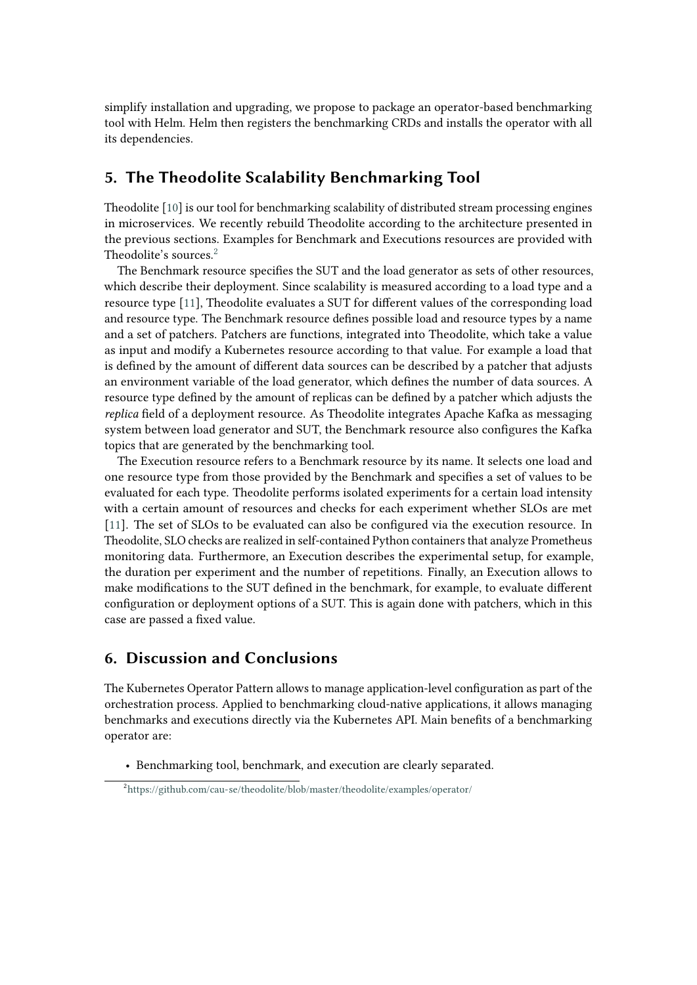simplify installation and upgrading, we propose to package an operator-based benchmarking tool with Helm. Helm then registers the benchmarking CRDs and installs the operator with all its dependencies.

# **5. The Theodolite Scalability Benchmarking Tool**

Theodolite [\[10\]](#page-5-3) is our tool for benchmarking scalability of distributed stream processing engines in microservices. We recently rebuild Theodolite according to the architecture presented in the previous sections. Examples for Benchmark and Executions resources are provided with Theodolite's sources.[2](#page-4-0)

The Benchmark resource specifies the SUT and the load generator as sets of other resources, which describe their deployment. Since scalability is measured according to a load type and a resource type [\[11\]](#page-5-4), Theodolite evaluates a SUT for different values of the corresponding load and resource type. The Benchmark resource defines possible load and resource types by a name and a set of patchers. Patchers are functions, integrated into Theodolite, which take a value as input and modify a Kubernetes resource according to that value. For example a load that is defined by the amount of different data sources can be described by a patcher that adjusts an environment variable of the load generator, which defines the number of data sources. A resource type defined by the amount of replicas can be defined by a patcher which adjusts the *replica* field of a deployment resource. As Theodolite integrates Apache Kafka as messaging system between load generator and SUT, the Benchmark resource also configures the Kafka topics that are generated by the benchmarking tool.

The Execution resource refers to a Benchmark resource by its name. It selects one load and one resource type from those provided by the Benchmark and specifies a set of values to be evaluated for each type. Theodolite performs isolated experiments for a certain load intensity with a certain amount of resources and checks for each experiment whether SLOs are met [\[11\]](#page-5-4). The set of SLOs to be evaluated can also be configured via the execution resource. In Theodolite, SLO checks are realized in self-contained Python containers that analyze Prometheus monitoring data. Furthermore, an Execution describes the experimental setup, for example, the duration per experiment and the number of repetitions. Finally, an Execution allows to make modifications to the SUT defined in the benchmark, for example, to evaluate different configuration or deployment options of a SUT. This is again done with patchers, which in this case are passed a fixed value.

# **6. Discussion and Conclusions**

The Kubernetes Operator Pattern allows to manage application-level configuration as part of the orchestration process. Applied to benchmarking cloud-native applications, it allows managing benchmarks and executions directly via the Kubernetes API. Main benefits of a benchmarking operator are:

• Benchmarking tool, benchmark, and execution are clearly separated.

<span id="page-4-0"></span><sup>2</sup> <https://github.com/cau-se/theodolite/blob/master/theodolite/examples/operator/>